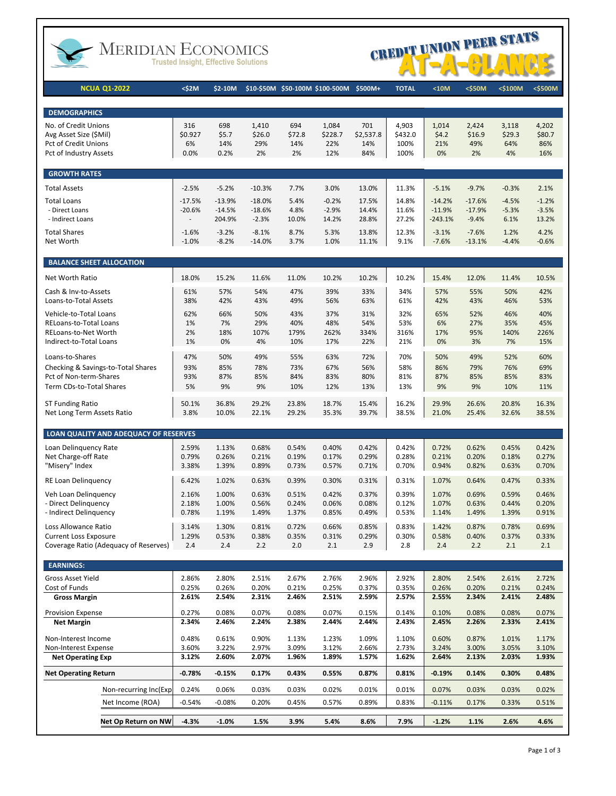

# MERIDIAN ECONOMICS



| <b>NCUA Q1-2022</b>                                          | <\$2M              | \$2-10M            |                     |                | \$10-\$50M \$50-100M \$100-500M | \$500M+          | <b>TOTAL</b>     | $10M$              | <\$50M              | <\$100M         | <\$500M         |
|--------------------------------------------------------------|--------------------|--------------------|---------------------|----------------|---------------------------------|------------------|------------------|--------------------|---------------------|-----------------|-----------------|
|                                                              |                    |                    |                     |                |                                 |                  |                  |                    |                     |                 |                 |
| <b>DEMOGRAPHICS</b>                                          |                    |                    |                     |                |                                 |                  |                  |                    |                     |                 |                 |
| No. of Credit Unions<br>Avg Asset Size (\$Mil)               | 316<br>\$0.927     | 698<br>\$5.7       | 1,410<br>\$26.0     | 694<br>\$72.8  | 1,084<br>\$228.7                | 701<br>\$2,537.8 | 4,903<br>\$432.0 | 1,014<br>\$4.2     | 2,424<br>\$16.9     | 3,118<br>\$29.3 | 4,202<br>\$80.7 |
| <b>Pct of Credit Unions</b>                                  | 6%                 | 14%                | 29%                 | 14%            | 22%                             | 14%              | 100%             | 21%                | 49%                 | 64%             | 86%             |
| Pct of Industry Assets                                       | 0.0%               | 0.2%               | 2%                  | 2%             | 12%                             | 84%              | 100%             | 0%                 | 2%                  | 4%              | 16%             |
| <b>GROWTH RATES</b>                                          |                    |                    |                     |                |                                 |                  |                  |                    |                     |                 |                 |
| <b>Total Assets</b>                                          | $-2.5%$            | $-5.2%$            | $-10.3%$            | 7.7%           | 3.0%                            | 13.0%            | 11.3%            | $-5.1%$            | $-9.7%$             | $-0.3%$         | 2.1%            |
| <b>Total Loans</b>                                           | $-17.5%$           | $-13.9%$           | $-18.0%$            | 5.4%           | $-0.2%$                         | 17.5%            | 14.8%            | $-14.2%$           | $-17.6%$            | $-4.5%$         | $-1.2%$         |
| - Direct Loans                                               | $-20.6%$           | $-14.5%$           | $-18.6%$            | 4.8%           | $-2.9%$                         | 14.4%            | 11.6%            | $-11.9%$           | $-17.9%$            | $-5.3%$         | $-3.5%$         |
| - Indirect Loans                                             | $\overline{a}$     | 204.9%             | $-2.3%$             | 10.0%          | 14.2%                           | 28.8%            | 27.2%            | -243.1%            | $-9.4%$             | 6.1%            | 13.2%           |
| <b>Total Shares</b><br>Net Worth                             | $-1.6%$<br>$-1.0%$ | $-3.2%$<br>$-8.2%$ | $-8.1%$<br>$-14.0%$ | 8.7%<br>3.7%   | 5.3%<br>1.0%                    | 13.8%<br>11.1%   | 12.3%<br>9.1%    | $-3.1%$<br>$-7.6%$ | $-7.6%$<br>$-13.1%$ | 1.2%<br>$-4.4%$ | 4.2%<br>$-0.6%$ |
| <b>BALANCE SHEET ALLOCATION</b>                              |                    |                    |                     |                |                                 |                  |                  |                    |                     |                 |                 |
|                                                              |                    |                    |                     |                |                                 |                  |                  |                    |                     |                 |                 |
| <b>Net Worth Ratio</b>                                       | 18.0%              | 15.2%              | 11.6%               | 11.0%          | 10.2%                           | 10.2%            | 10.2%            | 15.4%              | 12.0%               | 11.4%           | 10.5%           |
| Cash & Inv-to-Assets<br>Loans-to-Total Assets                | 61%<br>38%         | 57%<br>42%         | 54%<br>43%          | 47%<br>49%     | 39%<br>56%                      | 33%<br>63%       | 34%<br>61%       | 57%<br>42%         | 55%<br>43%          | 50%<br>46%      | 42%<br>53%      |
| Vehicle-to-Total Loans                                       | 62%                | 66%                | 50%                 | 43%            | 37%                             | 31%              | 32%              | 65%                | 52%                 | 46%             | 40%             |
| <b>RELoans-to-Total Loans</b>                                | 1%                 | 7%                 | 29%                 | 40%            | 48%                             | 54%              | 53%              | 6%                 | 27%                 | 35%             | 45%             |
| RELoans-to-Net Worth                                         | 2%                 | 18%                | 107%                | 179%           | 262%                            | 334%             | 316%             | 17%                | 95%                 | 140%            | 226%            |
| Indirect-to-Total Loans                                      | 1%                 | 0%                 | 4%                  | 10%            | 17%                             | 22%              | 21%              | 0%                 | 3%                  | 7%              | 15%             |
| Loans-to-Shares                                              | 47%                | 50%                | 49%                 | 55%            | 63%                             | 72%              | 70%              | 50%                | 49%                 | 52%             | 60%             |
| Checking & Savings-to-Total Shares<br>Pct of Non-term-Shares | 93%                | 85%                | 78%                 | 73%            | 67%                             | 56%              | 58%              | 86%                | 79%                 | 76%             | 69%             |
| Term CDs-to-Total Shares                                     | 93%<br>5%          | 87%<br>9%          | 85%<br>9%           | 84%<br>10%     | 83%<br>12%                      | 80%<br>13%       | 81%<br>13%       | 87%<br>9%          | 85%<br>9%           | 85%<br>10%      | 83%<br>11%      |
|                                                              |                    |                    |                     |                |                                 |                  |                  |                    |                     |                 |                 |
| ST Funding Ratio                                             | 50.1%<br>3.8%      | 36.8%              | 29.2%               | 23.8%          | 18.7%                           | 15.4%            | 16.2%            | 29.9%              | 26.6%               | 20.8%           | 16.3%           |
| Net Long Term Assets Ratio                                   |                    | 10.0%              | 22.1%               | 29.2%          | 35.3%                           | 39.7%            | 38.5%            | 21.0%              | 25.4%               | 32.6%           | 38.5%           |
| LOAN QUALITY AND ADEQUACY OF RESERVES                        |                    |                    |                     |                |                                 |                  |                  |                    |                     |                 |                 |
| Loan Delinquency Rate                                        | 2.59%              | 1.13%              | 0.68%               | 0.54%          | 0.40%                           | 0.42%            | 0.42%            | 0.72%              | 0.62%               | 0.45%           | 0.42%           |
| Net Charge-off Rate<br>"Misery" Index                        | 0.79%<br>3.38%     | 0.26%<br>1.39%     | 0.21%<br>0.89%      | 0.19%<br>0.73% | 0.17%<br>0.57%                  | 0.29%<br>0.71%   | 0.28%<br>0.70%   | 0.21%<br>0.94%     | 0.20%<br>0.82%      | 0.18%<br>0.63%  | 0.27%<br>0.70%  |
|                                                              |                    |                    |                     |                |                                 |                  |                  |                    |                     |                 |                 |
| RE Loan Delinquency                                          | 6.42%              | 1.02%              | 0.63%               | 0.39%          | 0.30%                           | 0.31%            | 0.31%            | 1.07%              | 0.64%               | 0.47%           | 0.33%           |
| Veh Loan Delinguency                                         | 2.16%              | 1.00%              | 0.63%               | 0.51%          | 0.42%                           | 0.37%            | 0.39%            | 1.07%              | 0.69%               | 0.59%           | 0.46%           |
| - Direct Delinguency<br>- Indirect Delinguency               | 2.18%<br>0.78%     | 1.00%<br>1.19%     | 0.56%<br>1.49%      | 0.24%<br>1.37% | 0.06%<br>0.85%                  | 0.08%<br>0.49%   | 0.12%<br>0.53%   | 1.07%<br>1.14%     | 0.63%<br>1.49%      | 0.44%<br>1.39%  | 0.20%<br>0.91%  |
| Loss Allowance Ratio                                         | 3.14%              | 1.30%              | 0.81%               | 0.72%          | 0.66%                           | 0.85%            | 0.83%            | 1.42%              | 0.87%               | 0.78%           | 0.69%           |
| <b>Current Loss Exposure</b>                                 | 1.29%              | 0.53%              | 0.38%               | 0.35%          | 0.31%                           | 0.29%            | 0.30%            | 0.58%              | 0.40%               | 0.37%           | 0.33%           |
| Coverage Ratio (Adequacy of Reserves)                        | 2.4                | 2.4                | 2.2                 | 2.0            | 2.1                             | 2.9              | 2.8              | 2.4                | 2.2                 | 2.1             | 2.1             |
| <b>EARNINGS:</b>                                             |                    |                    |                     |                |                                 |                  |                  |                    |                     |                 |                 |
| Gross Asset Yield                                            | 2.86%              | 2.80%              | 2.51%               | 2.67%          | 2.76%                           | 2.96%            | 2.92%            | 2.80%              | 2.54%               | 2.61%           | 2.72%           |
| Cost of Funds                                                | 0.25%              | 0.26%              | 0.20%               | 0.21%          | 0.25%                           | 0.37%            | 0.35%            | 0.26%              | 0.20%               | 0.21%           | 0.24%           |
| <b>Gross Margin</b>                                          | 2.61%              | 2.54%              | 2.31%               | 2.46%          | 2.51%                           | 2.59%            | 2.57%            | 2.55%              | 2.34%               | 2.41%           | 2.48%           |
| <b>Provision Expense</b>                                     | 0.27%              | 0.08%              | 0.07%               | 0.08%          | 0.07%                           | 0.15%            | 0.14%            | 0.10%              | 0.08%               | 0.08%           | 0.07%           |
| <b>Net Margin</b>                                            | 2.34%              | 2.46%              | 2.24%               | 2.38%          | 2.44%                           | 2.44%            | 2.43%            | 2.45%              | 2.26%               | 2.33%           | 2.41%           |
| Non-Interest Income                                          | 0.48%              | 0.61%              | 0.90%               | 1.13%          | 1.23%                           | 1.09%            | 1.10%            | 0.60%              | 0.87%               | 1.01%           | 1.17%           |
| Non-Interest Expense                                         | 3.60%              | 3.22%              | 2.97%               | 3.09%          | 3.12%                           | 2.66%            | 2.73%            | 3.24%              | 3.00%               | 3.05%           | 3.10%           |
| <b>Net Operating Exp</b>                                     | 3.12%              | 2.60%              | 2.07%               | 1.96%          | 1.89%                           | 1.57%            | 1.62%            | 2.64%              | 2.13%               | 2.03%           | 1.93%           |
| <b>Net Operating Return</b>                                  | $-0.78%$           | $-0.15%$           | 0.17%               | 0.43%          | 0.55%                           | 0.87%            | 0.81%            | $-0.19%$           | 0.14%               | 0.30%           | 0.48%           |
| Non-recurring Inc(Exp)                                       | 0.24%              | 0.06%              | 0.03%               | 0.03%          | 0.02%                           | 0.01%            | 0.01%            | 0.07%              | 0.03%               | 0.03%           | 0.02%           |
| Net Income (ROA)                                             | $-0.54%$           | $-0.08\%$          | 0.20%               | 0.45%          | 0.57%                           | 0.89%            | 0.83%            | $-0.11%$           | 0.17%               | 0.33%           | 0.51%           |
| Net Op Return on NW                                          | $-4.3%$            | $-1.0%$            | 1.5%                | 3.9%           | 5.4%                            | 8.6%             | 7.9%             | $-1.2%$            | 1.1%                | 2.6%            | 4.6%            |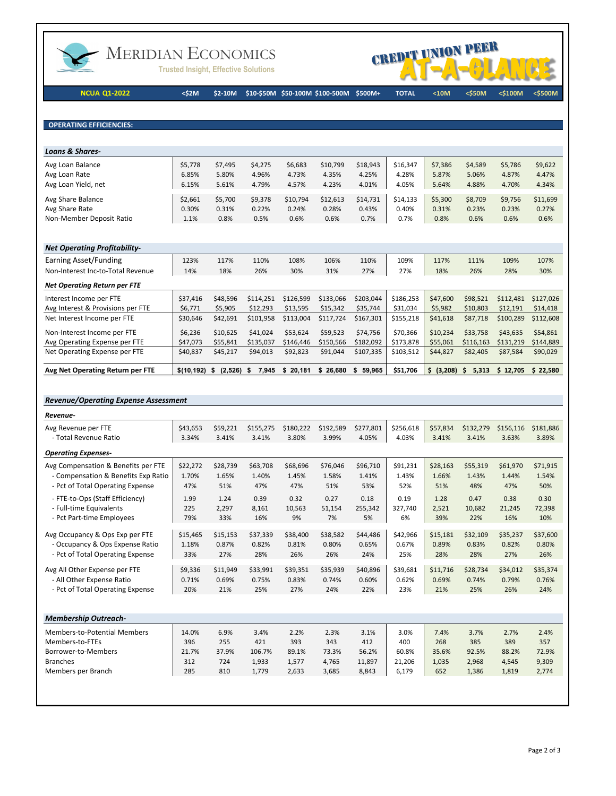

## MERIDIAN ECONOMICS

**Trusted Insight, Effective Solutions** 



**NCUA Q1-2022 <\$2M \$2-10M \$10-\$50M \$50-100M \$100-500M \$500M+ TOTAL <10M <\$50M <\$100M <\$500M**

**OPERATING EFFICIENCIES:** 

| <b>Loans &amp; Shares-</b>                                      |                          |                          |                          |                           |                           |                           |                           |                          |                          |                          |                           |
|-----------------------------------------------------------------|--------------------------|--------------------------|--------------------------|---------------------------|---------------------------|---------------------------|---------------------------|--------------------------|--------------------------|--------------------------|---------------------------|
| Avg Loan Balance<br>Avg Loan Rate                               | \$5,778<br>6.85%         | \$7,495<br>5.80%         | \$4,275<br>4.96%         | \$6,683<br>4.73%          | \$10,799<br>4.35%         | \$18,943<br>4.25%         | \$16.347<br>4.28%         | \$7,386<br>5.87%         | \$4,589<br>5.06%         | \$5,786<br>4.87%         | \$9,622<br>4.47%          |
| Avg Loan Yield, net                                             | 6.15%                    | 5.61%                    | 4.79%                    | 4.57%                     | 4.23%                     | 4.01%                     | 4.05%                     | 5.64%                    | 4.88%                    | 4.70%                    | 4.34%                     |
| Avg Share Balance<br>Avg Share Rate<br>Non-Member Deposit Ratio | \$2,661<br>0.30%<br>1.1% | \$5,700<br>0.31%<br>0.8% | \$9,378<br>0.22%<br>0.5% | \$10,794<br>0.24%<br>0.6% | \$12,613<br>0.28%<br>0.6% | \$14,731<br>0.43%<br>0.7% | \$14,133<br>0.40%<br>0.7% | \$5,300<br>0.31%<br>0.8% | \$8,709<br>0.23%<br>0.6% | \$9,756<br>0.23%<br>0.6% | \$11,699<br>0.27%<br>0.6% |
| <b>Net Onerating Profitability-</b>                             |                          |                          |                          |                           |                           |                           |                           |                          |                          |                          |                           |

| Earning Asset/Funding               | 123%       | 117%           | 110%          | 108%        | 106%        | 110%      | 109%      | 117%          | 111%        | 109%      | 107%      |
|-------------------------------------|------------|----------------|---------------|-------------|-------------|-----------|-----------|---------------|-------------|-----------|-----------|
| Non-Interest Inc-to-Total Revenue   | 14%        | 18%            | 26%           | 30%         | 31%         | 27%       | 27%       | 18%           | 26%         | 28%       | 30%       |
| <b>Net Operating Return per FTE</b> |            |                |               |             |             |           |           |               |             |           |           |
| Interest Income per FTE             | \$37.416   | \$48.596       | \$114,251     | \$126,599   | \$133,066   | \$203,044 | \$186,253 | \$47,600      | \$98,521    | \$112,481 | \$127,026 |
| Avg Interest & Provisions per FTE   | \$6,771    | \$5.905        | \$12,293      | \$13.595    | \$15.342    | \$35,744  | \$31,034  | \$5,982       | \$10.803    | \$12.191  | \$14,418  |
| Net Interest Income per FTE         | \$30.646   | \$42.691       | \$101,958     | \$113.004   | \$117.724   | \$167,301 | \$155,218 | \$41,618      | \$87.718    | \$100.289 | \$112,608 |
| Non-Interest Income per FTE         | \$6,236    | \$10.625       | \$41.024      | \$53.624    | \$59.523    | \$74.756  | \$70.366  | \$10,234      | \$33.758    | \$43.635  | \$54.861  |
| Avg Operating Expense per FTE       | \$47.073   | \$55.841       | \$135,037     | \$146.446   | \$150.566   | \$182.092 | \$173.878 | \$55,061      | \$116.163   | \$131.219 | \$144.889 |
| Net Operating Expense per FTE       | \$40,837   | \$45,217       | \$94,013      | \$92,823    | \$91,044    | \$107,335 | \$103,512 | \$44,827      | \$82,405    | \$87,584  | \$90,029  |
| Avg Net Operating Return per FTE    | \$(10.192) | (2.526)<br>- 5 | 7.945<br>- \$ | 20.181<br>s | 26.680<br>S | 59.965    | \$51,706  | (3,208)<br>S. | 5,313<br>S. | \$12,705  | \$22.580  |

#### *Revenue/Operating Expense Assessment*

| Revenue-                            |          |          |           |           |           |           |           |          |           |           |           |
|-------------------------------------|----------|----------|-----------|-----------|-----------|-----------|-----------|----------|-----------|-----------|-----------|
| Avg Revenue per FTE                 | \$43,653 | \$59,221 | \$155,275 | \$180,222 | \$192,589 | \$277,801 | \$256.618 | \$57,834 | \$132,279 | \$156,116 | \$181,886 |
| - Total Revenue Ratio               | 3.34%    | 3.41%    | 3.41%     | 3.80%     | 3.99%     | 4.05%     | 4.03%     | 3.41%    | 3.41%     | 3.63%     | 3.89%     |
| <b>Operating Expenses-</b>          |          |          |           |           |           |           |           |          |           |           |           |
| Avg Compensation & Benefits per FTE | \$22,272 | \$28,739 | \$63,708  | \$68,696  | \$76,046  | \$96,710  | \$91,231  | \$28,163 | \$55,319  | \$61,970  | \$71,915  |
| - Compensation & Benefits Exp Ratio | 1.70%    | 1.65%    | 1.40%     | 1.45%     | 1.58%     | 1.41%     | 1.43%     | 1.66%    | 1.43%     | 1.44%     | 1.54%     |
| - Pct of Total Operating Expense    | 47%      | 51%      | 47%       | 47%       | 51%       | 53%       | 52%       | 51%      | 48%       | 47%       | 50%       |
| - FTE-to-Ops (Staff Efficiency)     | 1.99     | 1.24     | 0.39      | 0.32      | 0.27      | 0.18      | 0.19      | 1.28     | 0.47      | 0.38      | 0.30      |
| - Full-time Equivalents             | 225      | 2,297    | 8,161     | 10,563    | 51,154    | 255,342   | 327.740   | 2,521    | 10,682    | 21,245    | 72,398    |
| - Pct Part-time Employees           | 79%      | 33%      | 16%       | 9%        | 7%        | 5%        | 6%        | 39%      | 22%       | 16%       | 10%       |
|                                     |          |          |           |           |           |           |           |          |           |           |           |
| Avg Occupancy & Ops Exp per FTE     | \$15,465 | \$15,153 | \$37,339  | \$38,400  | \$38,582  | \$44,486  | \$42,966  | \$15,181 | \$32,109  | \$35,237  | \$37,600  |
| - Occupancy & Ops Expense Ratio     | 1.18%    | 0.87%    | 0.82%     | 0.81%     | 0.80%     | 0.65%     | 0.67%     | 0.89%    | 0.83%     | 0.82%     | 0.80%     |
| - Pct of Total Operating Expense    | 33%      | 27%      | 28%       | 26%       | 26%       | 24%       | 25%       | 28%      | 28%       | 27%       | 26%       |
| Avg All Other Expense per FTE       | \$9,336  | \$11,949 | \$33,991  | \$39,351  | \$35,939  | \$40,896  | \$39,681  | \$11,716 | \$28,734  | \$34,012  | \$35,374  |
| - All Other Expense Ratio           | 0.71%    | 0.69%    | 0.75%     | 0.83%     | 0.74%     | 0.60%     | 0.62%     | 0.69%    | 0.74%     | 0.79%     | 0.76%     |
| - Pct of Total Operating Expense    | 20%      | 21%      | 25%       | 27%       | 24%       | 22%       | 23%       | 21%      | 25%       | 26%       | 24%       |
|                                     |          |          |           |           |           |           |           |          |           |           |           |
| <b>Membership Outreach-</b>         |          |          |           |           |           |           |           |          |           |           |           |
| <b>Members-to-Potential Members</b> | 14.0%    | 6.9%     | 3.4%      | 2.2%      | 2.3%      | 3.1%      | 3.0%      | 7.4%     | 3.7%      | 2.7%      | 2.4%      |
| Members-to-FTEs                     | 396      | 255      | 421       | 393       | 343       | 412       | 400       | 268      | 385       | 389       | 357       |
| Borrower-to-Members                 | 21.7%    | 37.9%    | 106.7%    | 89.1%     | 73.3%     | 56.2%     | 60.8%     | 35.6%    | 92.5%     | 88.2%     | 72.9%     |
| <b>Branches</b>                     | 312      | 724      | 1,933     | 1,577     | 4,765     | 11,897    | 21,206    | 1,035    | 2,968     | 4,545     | 9,309     |
| Members per Branch                  | 285      | 810      | 1,779     | 2,633     | 3,685     | 8,843     | 6,179     | 652      | 1,386     | 1,819     | 2,774     |
|                                     |          |          |           |           |           |           |           |          |           |           |           |
|                                     |          |          |           |           |           |           |           |          |           |           |           |